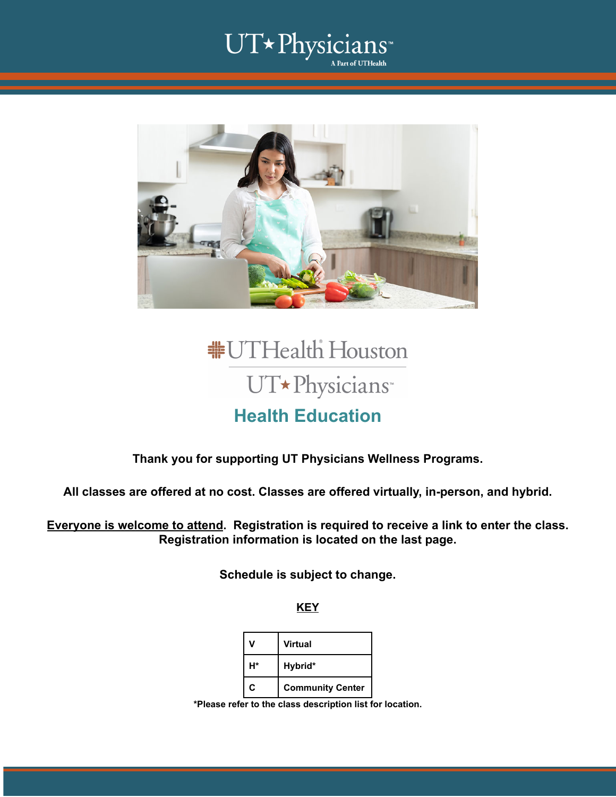### UT\*Physicians م<br>Part of UTHealth ا



## **#UTHealth Houston** UT\*Physicians **Health Education**

### **Thank you for supporting UT Physicians Wellness Programs.**

**All classes are offered at no cost. Classes are offered virtually, in-person, and hybrid.**

**Everyone is welcome to attend. Registration is required to receive a link to enter the class. Registration information is located on the last page.**

**Schedule is subject to change.**

**KEY**

|    | <b>Virtual</b>          |
|----|-------------------------|
| H* | Hybrid*                 |
| C  | <b>Community Center</b> |

**\*Please refer to the class description list for location.**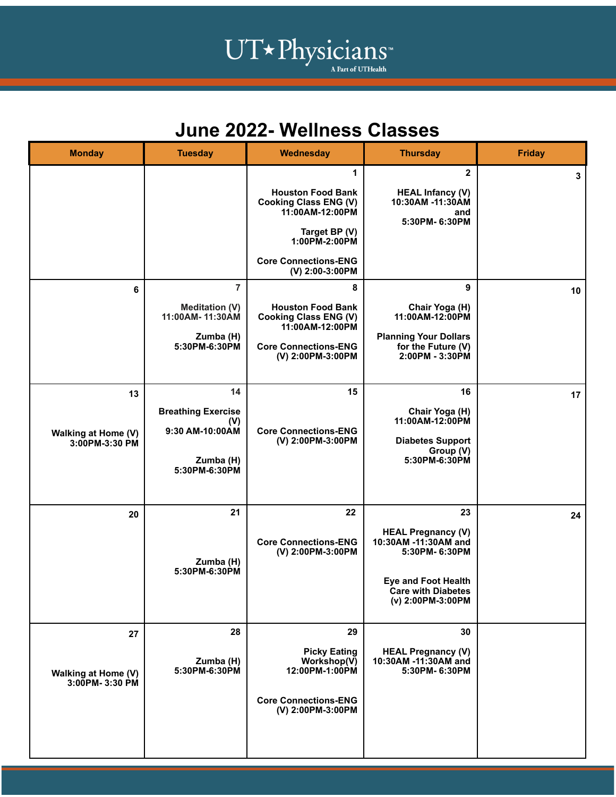# UT\*Physicians

### **June 2022- Wellness Classes**

| <b>Monday</b>                                      | <b>Tuesday</b>                                                                           | Wednesday                                                                                                                                                            | <b>Thursday</b>                                                                                                                                          | <b>Friday</b> |
|----------------------------------------------------|------------------------------------------------------------------------------------------|----------------------------------------------------------------------------------------------------------------------------------------------------------------------|----------------------------------------------------------------------------------------------------------------------------------------------------------|---------------|
|                                                    |                                                                                          | 1<br><b>Houston Food Bank</b><br><b>Cooking Class ENG (V)</b><br>11:00AM-12:00PM<br>Target BP (V)<br>1:00PM-2:00PM<br><b>Core Connections-ENG</b><br>(V) 2:00-3:00PM | $\mathbf{2}$<br><b>HEAL Infancy (V)</b><br>10:30AM -11:30AM<br>and<br>5:30PM-6:30PM                                                                      | 3             |
| 6                                                  | $\overline{7}$<br><b>Meditation (V)</b><br>11:00AM-11:30AM<br>Zumba (H)<br>5:30PM-6:30PM | 8<br><b>Houston Food Bank</b><br><b>Cooking Class ENG (V)</b><br>11:00AM-12:00PM<br><b>Core Connections-ENG</b><br>(V) 2:00PM-3:00PM                                 | 9<br>Chair Yoga (H)<br>11:00AM-12:00PM<br><b>Planning Your Dollars</b><br>for the Future (V)<br>2:00PM - 3:30PM                                          | 10            |
| 13<br><b>Walking at Home (V)</b><br>3:00PM-3:30 PM | 14<br><b>Breathing Exercise</b><br>(V)<br>9:30 AM-10:00AM<br>Zumba (H)<br>5:30PM-6:30PM  | 15<br><b>Core Connections-ENG</b><br>(V) 2:00PM-3:00PM                                                                                                               | 16<br>Chair Yoga (H)<br>11:00AM-12:00PM<br><b>Diabetes Support</b><br>Group (V)<br>5:30PM-6:30PM                                                         | 17            |
| 20                                                 | 21<br>Zumba (H)<br>5:30PM-6:30PM                                                         | 22<br><b>Core Connections-ENG</b><br>(V) 2:00PM-3:00PM                                                                                                               | 23<br><b>HEAL Pregnancy (V)</b><br>10:30AM -11:30AM and<br>5:30PM-6:30PM<br><b>Eye and Foot Health</b><br><b>Care with Diabetes</b><br>(v) 2:00PM-3:00PM | 24            |
| 27<br><b>Walking at Home (V)</b><br>3:00PM-3:30 PM | 28<br>Zumba (H)<br>5:30PM-6:30PM                                                         | 29<br><b>Picky Eating</b><br>Workshop(V)<br>12:00PM-1:00PM<br><b>Core Connections-ENG</b><br>(V) 2:00PM-3:00PM                                                       | 30<br><b>HEAL Pregnancy (V)</b><br>10:30AM -11:30AM and<br>5:30PM-6:30PM                                                                                 |               |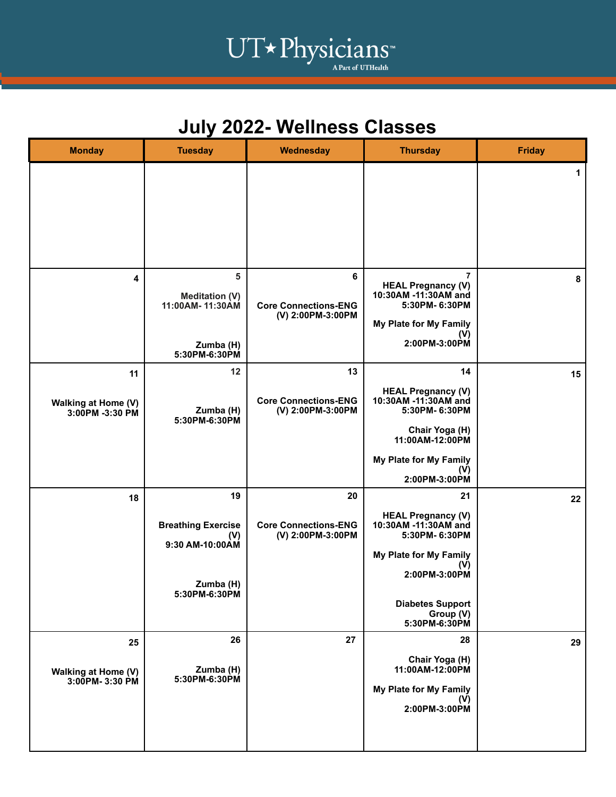## UT\*Physicians<sup>"</sup>

## **July 2022- Wellness Classes**

| <b>Monday</b>                                | <b>Tuesday</b>                                                                          | Wednesday                                              | <b>Thursday</b>                                                                                                                                                                            | <b>Friday</b> |
|----------------------------------------------|-----------------------------------------------------------------------------------------|--------------------------------------------------------|--------------------------------------------------------------------------------------------------------------------------------------------------------------------------------------------|---------------|
|                                              |                                                                                         |                                                        |                                                                                                                                                                                            | 1             |
| 4                                            | 5<br><b>Meditation (V)</b><br>11:00AM-11:30AM<br>Zumba (H)<br>5:30PM-6:30PM             | 6<br><b>Core Connections-ENG</b><br>(V) 2:00PM-3:00PM  | $\overline{7}$<br><b>HEAL Pregnancy (V)</b><br>10:30AM -11:30AM and<br>5:30PM-6:30PM<br>My Plate for My Family<br>(V)<br>2:00PM-3:00PM                                                     | 8             |
| 11<br>Walking at Home (V)<br>3:00PM -3:30 PM | 12<br>Zumba (H)<br>5:30PM-6:30PM                                                        | 13<br><b>Core Connections-ENG</b><br>(V) 2:00PM-3:00PM | 14<br><b>HEAL Pregnancy (V)</b><br>10:30AM -11:30AM and<br>5:30PM- 6:30PM                                                                                                                  | 15            |
|                                              |                                                                                         |                                                        | Chair Yoga (H)<br>11:00AM-12:00PM<br>My Plate for My Family<br>(V)<br>2:00PM-3:00PM                                                                                                        |               |
| 18                                           | 19<br><b>Breathing Exercise</b><br>(V)<br>9:30 AM-10:00AM<br>Zumba (H)<br>5:30PM-6:30PM | 20<br><b>Core Connections-ENG</b><br>(V) 2:00PM-3:00PM | 21<br><b>HEAL Pregnancy (V)</b><br>10:30AM -11:30AM and<br>5:30PM-6:30PM<br><b>My Plate for My Family</b><br>(V)<br>2:00PM-3:00PM<br><b>Diabetes Support</b><br>Group (V)<br>5:30PM-6:30PM | 22            |
| 25<br>Walking at Home (V)<br>3:00PM-3:30 PM  | 26<br>Zumba (H)<br>5:30PM-6:30PM                                                        | 27                                                     | 28<br>Chair Yoga (H)<br>11:00AM-12:00PM<br>My Plate for My Family<br>(V)<br>2:00PM-3:00PM                                                                                                  | 29            |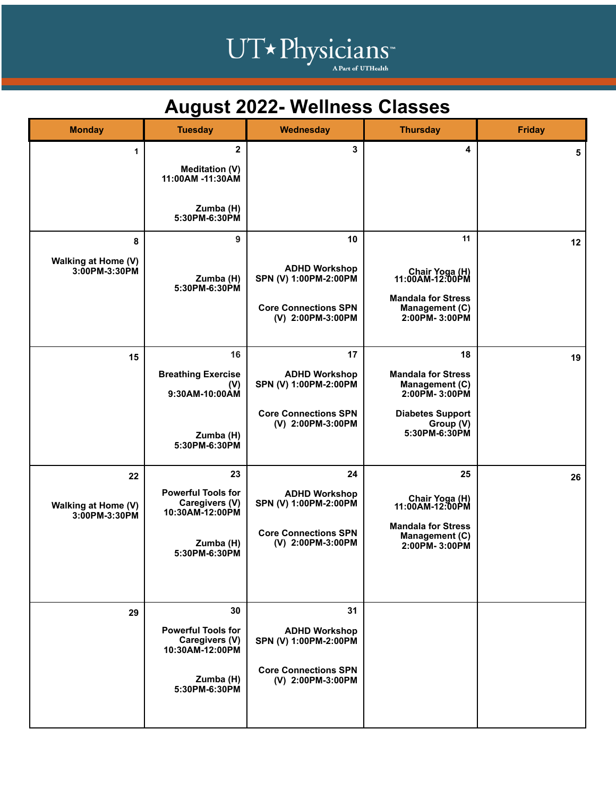# UT\*Physicians<sup>\*</sup>

## **August 2022- Wellness Classes**

| <b>Monday</b>                              | <b>Tuesday</b>                                                                                     | <b>Wednesday</b>                                                                                        | <b>Thursday</b>                                                                                                             | <b>Friday</b> |
|--------------------------------------------|----------------------------------------------------------------------------------------------------|---------------------------------------------------------------------------------------------------------|-----------------------------------------------------------------------------------------------------------------------------|---------------|
| 1                                          | $\mathbf{2}$<br><b>Meditation (V)</b><br>11:00AM -11:30AM<br>Zumba (H)<br>5:30PM-6:30PM            | 3                                                                                                       | 4                                                                                                                           | 5             |
| 8<br>Walking at Home (V)<br>3:00PM-3:30PM  | 9<br>Zumba (H)<br>5:30PM-6:30PM                                                                    | 10<br><b>ADHD Workshop</b><br>SPN (V) 1:00PM-2:00PM<br><b>Core Connections SPN</b><br>(V) 2:00PM-3:00PM | 11<br>Chair Yoga (H)<br>11:00AM-12:00PM<br><b>Mandala for Stress</b><br>Management (C)<br>2:00PM-3:00PM                     | 12            |
| 15                                         | 16<br><b>Breathing Exercise</b><br>(V)<br>9:30AM-10:00AM<br>Zumba (H)<br>5:30PM-6:30PM             | 17<br><b>ADHD Workshop</b><br>SPN (V) 1:00PM-2:00PM<br><b>Core Connections SPN</b><br>(V) 2:00PM-3:00PM | 18<br><b>Mandala for Stress</b><br>Management (C)<br>2:00PM-3:00PM<br><b>Diabetes Support</b><br>Group (V)<br>5:30PM-6:30PM | 19            |
| 22<br>Walking at Home (V)<br>3:00PM-3:30PM | 23<br><b>Powerful Tools for</b><br>Caregivers (V)<br>10:30AM-12:00PM<br>Zumba (H)<br>5:30PM-6:30PM | 24<br><b>ADHD Workshop</b><br>SPN (V) 1:00PM-2:00PM<br><b>Core Connections SPN</b><br>(V) 2:00PM-3:00PM | 25<br>Chair Yoga (H)<br>11:00AM-12:00PM<br><b>Mandala for Stress</b><br>Management (C)<br>2:00PM-3:00PM                     | 26            |
| 29                                         | 30<br><b>Powerful Tools for</b><br>Caregivers (V)<br>10:30AM-12:00PM<br>Zumba (H)<br>5:30PM-6:30PM | 31<br><b>ADHD Workshop</b><br>SPN (V) 1:00PM-2:00PM<br><b>Core Connections SPN</b><br>(V) 2:00PM-3:00PM |                                                                                                                             |               |